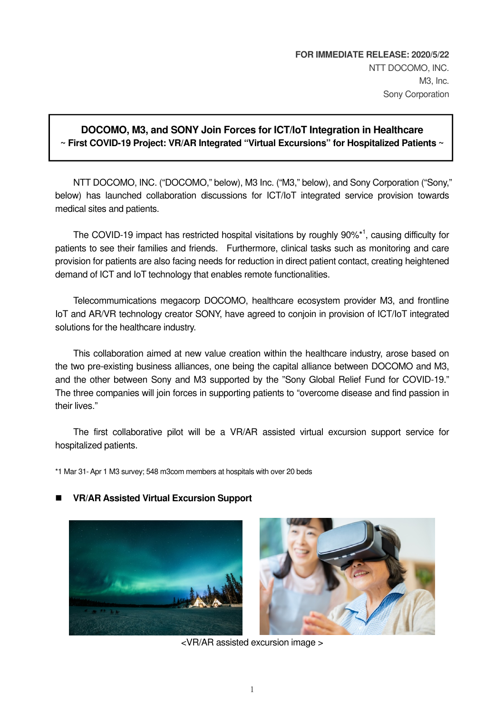## **DOCOMO, M3, and SONY Join Forces for ICT/IoT Integration in Healthcare ~ First COVID-19 Project: VR/AR Integrated "Virtual Excursions" for Hospitalized Patients ~**

NTT DOCOMO, INC. ("DOCOMO," below), M3 Inc. ("M3," below), and Sony Corporation ("Sony," below) has launched collaboration discussions for ICT/IoT integrated service provision towards medical sites and patients.

The COVID-19 impact has restricted hospital visitations by roughly 90%<sup>\*1</sup>, causing difficulty for patients to see their families and friends. Furthermore, clinical tasks such as monitoring and care provision for patients are also facing needs for reduction in direct patient contact, creating heightened demand of ICT and IoT technology that enables remote functionalities.

Telecommumications megacorp DOCOMO, healthcare ecosystem provider M3, and frontline IoT and AR/VR technology creator SONY, have agreed to conjoin in provision of ICT/IoT integrated solutions for the healthcare industry.

This collaboration aimed at new value creation within the healthcare industry, arose based on the two pre-existing business alliances, one being the capital alliance between DOCOMO and M3, and the other between Sony and M3 supported by the "Sony Global Relief Fund for COVID-19." The three companies will join forces in supporting patients to "overcome disease and find passion in their lives."

The first collaborative pilot will be a VR/AR assisted virtual excursion support service for hospitalized patients.

\*1 Mar 31- Apr 1 M3 survey; 548 m3com members at hospitals with over 20 beds

## **VR/AR Assisted Virtual Excursion Support**





<VR/AR assisted excursion image >